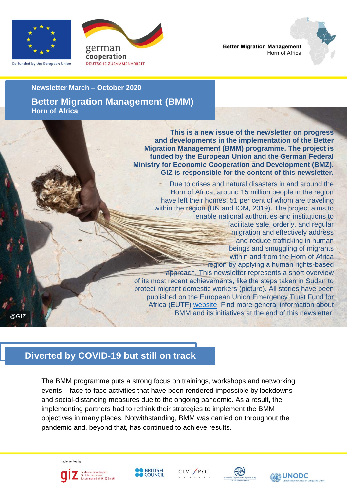

Co-funded by the European Union



**Better Migration Management** Horn of Africa

#### **Newsletter March – October 2020**

**Better Migration Management (BMM) Horn of Africa**

> **This is a new issue of the newsletter on progress and developments in the implementation of the Better Migration Management (BMM) programme. The project is funded by the European Union and the German Federal Ministry for Economic Cooperation and Development (BMZ). GIZ is responsible for the content of this newsletter.**

Due to crises and natural disasters in and around the Horn of Africa, around 15 million people in the region have left their homes, 51 per cent of whom are traveling within the region (UN and IOM, 2019). The project aims to enable national authorities and institutions to facilitate safe, orderly, and regular migration and effectively address and reduce trafficking in human beings and smuggling of migrants within and from the Horn of Africa region by applying a human rights-based approach. This newsletter represents a short overview of its most recent achievements, like the steps taken in Sudan to protect migrant domestic workers (picture). All stories have been published on the European Union Emergency Trust Fund for

Africa (EUTF) [website.](https://ec.europa.eu/trustfundforafrica/region/horn-africa/regional/better-migration-management-programme-phase-ii_en) Find more general information about

BMM and its initiatives at the end of this newsletter.

@GIZ

# **Diverted by COVID-19 but still on track**

The BMM programme puts a strong focus on trainings, workshops and networking events – face-to-face activities that have been rendered impossible by lockdowns and social-distancing measures due to the ongoing pandemic. As a result, the implementing partners had to rethink their strategies to implement the BMM objectives in many places. Notwithstanding, BMM was carried on throughout the pandemic and, beyond that, has continued to achieve results.

Implemented by





CIVI/POL



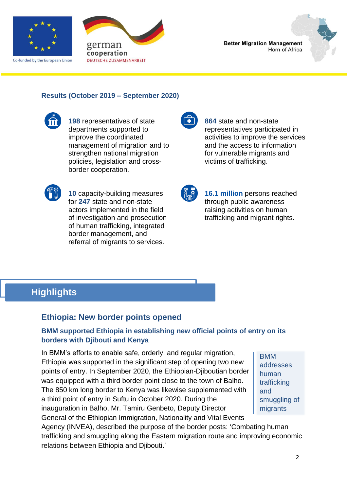

Co-funded by the European Union





#### **Results (October 2019 – September 2020)**



**198** representatives of state departments supported to improve the coordinated management of migration and to strengthen national migration policies, legislation and crossborder cooperation.



**10** capacity-building measures for **247** state and non-state actors implemented in the field of investigation and prosecution of human trafficking, integrated border management, and referral of migrants to services.



**864** state and non-state representatives participated in activities to improve the services and the access to information for vulnerable migrants and victims of trafficking.

**16.1 million** persons reached through public awareness raising activities on human trafficking and migrant rights.

# **Highlights**

# **Ethiopia: New border points opened**

### **BMM supported Ethiopia in establishing new official points of entry on its borders with Djibouti and Kenya**

In BMM's efforts to enable safe, orderly, and regular migration, Ethiopia was supported in the significant step of opening two new points of entry. In September 2020, the Ethiopian-Djiboutian border was equipped with a third border point close to the town of Balho. The 850 km long border to Kenya was likewise supplemented with a third point of entry in Suftu in October 2020. During the inauguration in Balho, Mr. Tamiru Genbeto, Deputy Director General of the Ethiopian Immigration, Nationality and Vital Events

BMM addresses human trafficking and smuggling of migrants

Agency (INVEA), described the purpose of the border posts: 'Combating human trafficking and smuggling along the Eastern migration route and improving economic relations between Ethiopia and Djibouti.'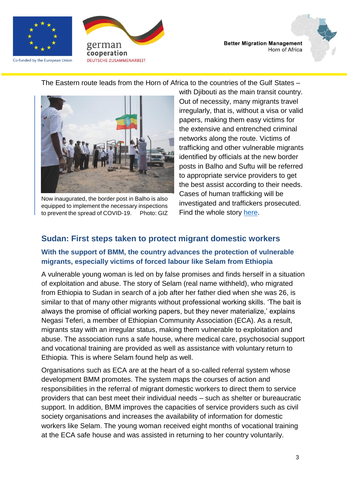

Co-funded by the European Union



**Better Migration Management** Horn of Africa

The Eastern route leads from the Horn of Africa to the countries of the Gulf States –



Now inaugurated, the border post in Balho is also equipped to implement the necessary inspections to prevent the spread of COVID-19. Photo: GIZ

with Djibouti as the main transit country. Out of necessity, many migrants travel irregularly, that is, without a visa or valid papers, making them easy victims for the extensive and entrenched criminal networks along the route. Victims of trafficking and other vulnerable migrants identified by officials at the new border posts in Balho and Suftu will be referred to appropriate service providers to get the best assist according to their needs. Cases of human trafficking will be investigated and traffickers prosecuted. Find the whole story [here.](https://ec.europa.eu/trustfundforafrica/all-news-and-stories/eu-and-germany-support-establishment-third-point-entry-ethiopia-djibouti-border_en)

# **Sudan: First steps taken to protect migrant domestic workers**

#### **With the support of BMM, the country advances the protection of vulnerable migrants, especially victims of forced labour like Selam from Ethiopia**

A vulnerable young woman is led on by false promises and finds herself in a situation of exploitation and abuse. The story of Selam (real name withheld), who migrated from Ethiopia to Sudan in search of a job after her father died when she was 26, is similar to that of many other migrants without professional working skills. 'The bait is always the promise of official working papers, but they never materialize,' explains Negasi Teferi, a member of Ethiopian Community Association (ECA). As a result, migrants stay with an irregular status, making them vulnerable to exploitation and abuse. The association runs a safe house, where medical care, psychosocial support and vocational training are provided as well as assistance with voluntary return to Ethiopia. This is where Selam found help as well.

Organisations such as ECA are at the heart of a so-called referral system whose development BMM promotes. The system maps the courses of action and responsibilities in the referral of migrant domestic workers to direct them to service providers that can best meet their individual needs – such as shelter or bureaucratic support. In addition, BMM improves the capacities of service providers such as civil society organisations and increases the availability of information for domestic workers like Selam. The young woman received eight months of vocational training at the ECA safe house and was assisted in returning to her country voluntarily.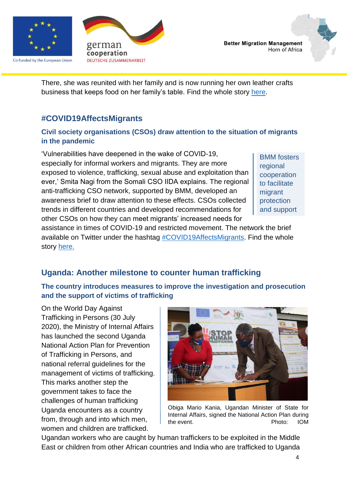

Co-funded by the European Union





There, she was reunited with her family and is now running her own leather crafts business that keeps food on her family's table. Find the whole story [here.](https://ec.europa.eu/trustfundforafrica/all-news-and-stories/first-steps-taken-protect-migrant-domestic-workers-sudan_en)

# **#COVID19AffectsMigrants**

#### **Civil society organisations (CSOs) draw attention to the situation of migrants in the pandemic**

'Vulnerabilities have deepened in the wake of COVID-19, especially for informal workers and migrants. They are more exposed to violence, trafficking, sexual abuse and exploitation than ever,' Smita Nagi from the Somali CSO IIDA explains. The regional anti-trafficking CSO network, supported by BMM, developed an awareness brief to draw attention to these effects. CSOs collected trends in different countries and developed recommendations for other CSOs on how they can meet migrants' increased needs for

BMM fosters regional cooperation to facilitate migrant protection and support

assistance in times of COVID-19 and restricted movement. The network the brief available on Twitter under the hashtag [#COVID19AffectsMigrants.](https://twitter.com/hashtag/COVID19AFFECTSMIGRANTS?src=hash) Find the whole story [here.](https://ec.europa.eu/trustfundforafrica/all-news-and-stories/bmm-regional-cso-network-publishes-brief-how-covid19affectsmigrants-and-human_en)

# **Uganda: Another milestone to counter human trafficking**

### **The country introduces measures to improve the investigation and prosecution and the support of victims of trafficking**

On the World Day Against Trafficking in Persons (30 July 2020), the Ministry of Internal Affairs has launched the second Uganda National Action Plan for Prevention of Trafficking in Persons, and national referral guidelines for the management of victims of trafficking. This marks another step the government takes to face the challenges of human trafficking Uganda encounters as a country from, through and into which men, women and children are trafficked.



Obiga Mario Kania, Ugandan Minister of State for Internal Affairs, signed the National Action Plan during the event. Photo: IOM

Ugandan workers who are caught by human traffickers to be exploited in the Middle East or children from other African countries and India who are trafficked to Uganda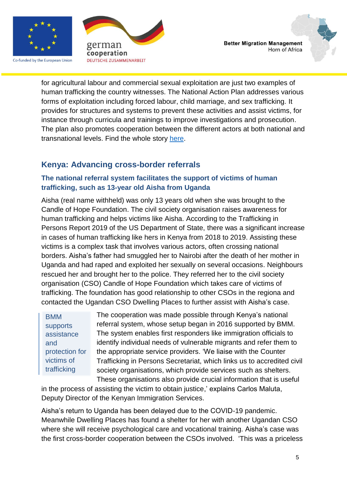

Co-funded by the European Union



**Better Migration Management** Horn of Africa

for agricultural labour and commercial sexual exploitation are just two examples of human trafficking the country witnesses. The National Action Plan addresses various forms of exploitation including forced labour, child marriage, and sex trafficking. It provides for structures and systems to prevent these activities and assist victims, for instance through curricula and trainings to improve investigations and prosecution. The plan also promotes cooperation between the different actors at both national and transnational levels. Find the whole story [here.](https://ec.europa.eu/trustfundforafrica/all-news-and-stories/eu-and-bmz-uganda-has-taken-another-step-forward-counter-human-trafficking_en)

# **Kenya: Advancing cross-border referrals**

#### **The national referral system facilitates the support of victims of human trafficking, such as 13-year old Aisha from Uganda**

Aisha (real name withheld) was only 13 years old when she was brought to the Candle of Hope Foundation. The civil society organisation raises awareness for human trafficking and helps victims like Aisha. According to the Trafficking in Persons Report 2019 of the US Department of State, there was a significant increase in cases of human trafficking like hers in Kenya from 2018 to 2019. Assisting these victims is a complex task that involves various actors, often crossing national borders. Aisha's father had smuggled her to Nairobi after the death of her mother in Uganda and had raped and exploited her sexually on several occasions. Neighbours rescued her and brought her to the police. They referred her to the civil society organisation (CSO) Candle of Hope Foundation which takes care of victims of trafficking. The foundation has good relationship to other CSOs in the regiona and contacted the Ugandan CSO Dwelling Places to further assist with Aisha's case.

BMM supports assistance and protection for victims of trafficking

The cooperation was made possible through Kenya's national referral system, whose setup began in 2016 supported by BMM. The system enables first responders like immigration officials to identify individual needs of vulnerable migrants and refer them to the appropriate service providers. 'We liaise with the Counter Trafficking in Persons Secretariat, which links us to accredited civil society organisations, which provide services such as shelters. These organisations also provide crucial information that is useful

in the process of assisting the victim to obtain justice,' explains Carlos Maluta, Deputy Director of the Kenyan Immigration Services.

Aisha's return to Uganda has been delayed due to the COVID-19 pandemic. Meanwhile Dwelling Places has found a shelter for her with another Ugandan CSO where she will receive psychological care and vocational training. Aisha's case was the first cross-border cooperation between the CSOs involved. 'This was a priceless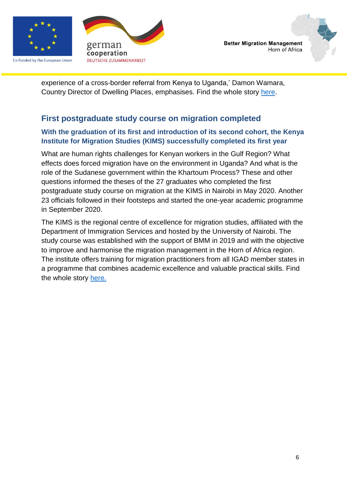

Co-funded by the European Union



experience of a cross-border referral from Kenya to Uganda,' Damon Wamara, Country Director of Dwelling Places, emphasises. Find the whole story [here.](https://ec.europa.eu/trustfundforafrica/all-news-and-stories/bmm-supports-estabilishment-kenyas-referral-system-victims-trafficking-and_en)

# **First postgraduate study course on migration completed**

#### **With the graduation of its first and introduction of its second cohort, the Kenya Institute for Migration Studies (KIMS) successfully completed its first year**

What are human rights challenges for Kenyan workers in the Gulf Region? What effects does forced migration have on the environment in Uganda? And what is the role of the Sudanese government within the Khartoum Process? These and other questions informed the theses of the 27 graduates who completed the first postgraduate study course on migration at the KIMS in Nairobi in May 2020. Another 23 officials followed in their footsteps and started the one-year academic programme in September 2020.

The KIMS is the regional centre of excellence for migration studies, affiliated with the Department of Immigration Services and hosted by the University of Nairobi. The study course was established with the support of BMM in 2019 and with the objective to improve and harmonise the migration management in the Horn of Africa region. The institute offers training for migration practitioners from all IGAD member states in a programme that combines academic excellence and valuable practical skills. Find the whole story [here.](https://ec.europa.eu/trustfundforafrica/all-news-and-stories/27-migration-officers-igad-member-states-completed-first-postgraduate-study_en)